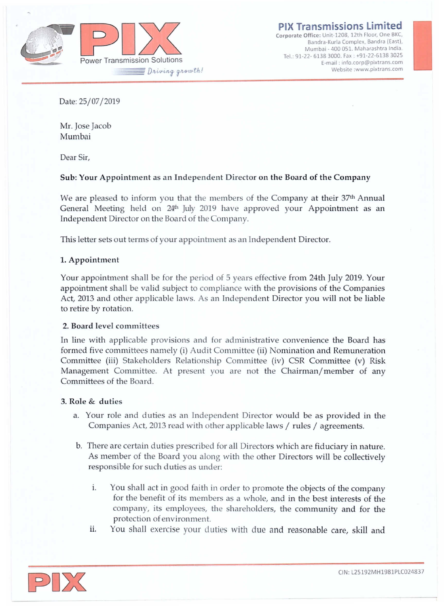

**Bandra-Kurla Complex, Bandra (East), Mumbai· 400 051. Maharashtra India.** Tel. 91-22- 6138 3000. Fax: +91-22-6138 3025 **E-mail: [info.corp@pixtrans.com](mailto:info.corp@pixtrans.com) ISSIONS Limited**<br> **ELEDS**, 12th Floor, One BKC,<br>
Urla Complex, Bandra (East),<br>
400 051. Maharashtra India.<br>
ail : info.corp@pixtrans.com<br>
Website [:www.pixtrans.com](http://:www.pixtrans.com)

Date: 25/07/2019

Mr. Jose Jacob Mumbai

Dear Sir,

# Sub: Your Appointment as an Independent Director on the Board of the Company

We are pleased to inform you that the members of the Company at their 37<sup>th</sup> Annual General Meeting held on 24<sup>th</sup> July 2019 have approved your Appointment as an Independent Director on the Board of the Company.

This letter sets out terms of your appointment as an Independent Director.

# 1. Appointment

Your appointment shall be for the period of 5 years effective from 24th July 2019. Your appointment shall be valid subject to compliance with the provisions of the Companies Act, 2013 and other applicable laws. As an Independent Director you will not be liable to retire by rotation.

### 2. Board level committees

In Line with applicable provisions and for administrative convenience the Board has formed five committees namely (i) Audit Committee (ii) Nomination and Remuneration Committee (iii) Stakeholders Relationship Committee (iv) CSR Committee (v) Risk Management Committee. At present you are not the Chairman/member of any Committees of the Board.

### 3. Role & duties

- a. Your role and duties as an Independent Director would be as provided in the Companies Act, 2013 read with other applicable laws / rules / agreements.
- b. There are certain duties prescribed for all Directors which are fiduciary in nature. As member of the Board you along with the other Directors will be collectively responsible for such duties as under:
	- i. You shall act in good faith in order to promote the objects of the company for the benefit of its members as a whole, and in the best interests of the company, its employees, the shareholders, the community and for the protection of environment.
	- ii. You shall exercise your duties with due and reasonable care, skill and